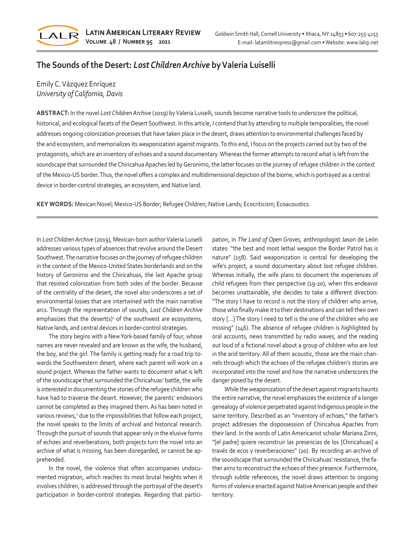

# **The Sounds of the Desert:** *Lost Children Archive* **by Valeria Luiselli**

# Emily C. Vázquez Enríquez *University of California, Davis*

**ABSTRACT:** In the novel *Lost Children Archive* (2019) by Valeria Luiselli, sounds become narrative tools to underscore the political, historical, and ecological facets of the Desert Southwest. In this article, I contend that by attending to multiple temporalities, the novel addresses ongoing colonization processes that have taken place in the desert, draws attention to environmental challenges faced by the arid ecosystem, and memorializes its weaponization against migrants. To this end, I focus on the projects carried out by two of the protagonists, which are an inventory of echoes and a sound documentary. Whereas the former attempts to record what is left from the soundscape that surrounded the Chiricahua Apaches led by Geronimo, the latter focuses on the journey of refugee children in the context of the Mexico-US border. Thus, the novel offers a complex and multidimensional depiction of the biome, which is portrayed as a central device in border-control strategies, an ecosystem, and Native land.

**KEY WORDS:** Mexican Novel; Mexico-US Border; Refugee Children; Native Lands; Ecocriticism; Ecoacoustics.

In *Lost Children Archive* (2019)*,* Mexican-born author Valeria Luiselli addresses various types of absences that revolve around the Desert Southwest. The narrative focuses on the journey of refugee children in the context of the Mexico-United States borderlands and on the history of Geronimo and the Chiricahuas, the last Apache group that resisted colonization from both sides of the border. Because of the centrality of the desert, the novel also underscores a set of environmental losses that are intertwined with the main narrative arcs. Through the representation of sounds, *Lost Children Archive*  emphasizes that the desert(s) $\frac{1}{2}$  of the southwest are ecosystems, Native lands, and central devices in border-control strategies.

The story begins with a New York-based family of four, whose names are never revealed and are known as the wife, the husband, the boy, and the girl. The family is getting ready for a road trip towards the Southwestern desert, where each parent will work on a sound project. Whereas the father wants to document what is left of the soundscape that surrounded the Chiricahuas' battle, the wife is interested in documenting the stories of the refugee children who have had to traverse the desert. However, the parents' endeavors cannot be completed as they imagined them. As has been noted in various reviews,<sup>2</sup> due to the impossibilities that follow each project, the novel speaks to the limits of archival and historical research. Through the pursuit of sounds that appear only in the elusive forms of echoes and reverberations, both projects turn the novel into an archive of what is missing, has been disregarded, or cannot be apprehended.

In the novel, the violence that often accompanies undocumented migration, which reaches its most brutal heights when it involves children, is addressed through the portrayal of the desert's participation in border-control strategies. Regarding that participation, in *The Land of Open Graves,* anthropologist Jason de León states: "the best and most lethal weapon the Border Patrol has is nature" (158). Said weaponization is central for developing the wife's project, a sound documentary about lost refugee children. Whereas initially, the wife plans to document the experiences of child refugees from their perspective (19-20), when this endeavor becomes unattainable, she decides to take a different direction: "The story I have to record is not the story of children who arrive, those who finally make it to their destinations and can tell their own story […] The story I need to tell is the one of the children who are missing" (146). The absence of refugee children is highlighted by oral accounts, news transmitted by radio waves, and the reading out loud of a fictional novel about a group of children who are lost in the arid territory. All of them acoustic, those are the main channels through which the echoes of the refugee children's stories are incorporated into the novel and how the narrative underscores the danger posed by the desert.

While the weaponization of the desert against migrants haunts the entire narrative, the novel emphasizes the existence of a longer genealogy of violence perpetrated against Indigenous people in the same territory. Described as an "inventory of echoes," the father's project addresses the dispossession of Chiricahua Apaches from their land. In the words of Latin Americanist scholar Mariana Zinni, "[el padre] quiere reconstruir las presencias de los [Chiricahuas] a través de ecos y reverberaciones" (20). By recording an archive of the soundscape that surrounded the Chiricahuas' resistance, the father aims to reconstruct the echoes of their presence. Furthermore, through subtle references, the novel draws attention to ongoing forms of violence enacted against Native American people and their territory.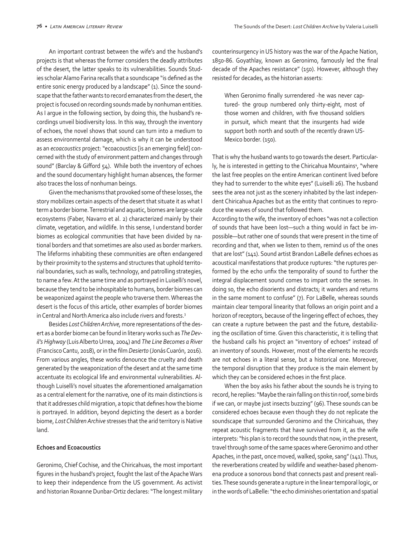An important contrast between the wife's and the husband's projects is that whereas the former considers the deadly attributes of the desert, the latter speaks to its vulnerabilities. Sounds Studies scholar Alamo Farina recalls that a soundscape "is defined as the entire sonic energy produced by a landscape" (1). Since the soundscape that the father wants to record emanates from the desert, the project is focused on recording sounds made by nonhuman entities. As I argue in the following section, by doing this, the husband's recordings unveil biodiversity loss. In this way, through the inventory of echoes, the novel shows that sound can turn into a medium to assess environmental damage, which is why it can be understood as an *ecoacoustics* project: "ecoacoustics [is an emerging field] concerned with the study of environment pattern and changes through sound" (Barclay & Gifford 54). While both the inventory of echoes and the sound documentary highlight human absences, the former also traces the loss of nonhuman beings.

Given the mechanisms that provoked some of these losses, the story mobilizes certain aspects of the desert that situate it as what I term a border biome. Terrestrial and aquatic, biomes are large-scale ecosystems (Faber, Navarro et al. 2) characterized mainly by their climate, vegetation, and wildlife. In this sense, I understand border biomes as ecological communities that have been divided by national borders and that sometimes are also used as border markers. The lifeforms inhabiting these communities are often endangered by their proximity to the systems and structures that uphold territorial boundaries, such as walls, technology, and patrolling strategies, to name a few. At the same time and as portrayed in Luiselli's novel, because they tend to be inhospitable to humans, border biomes can be weaponized against the people who traverse them. Whereas the desert is the focus of this article, other examples of border biomes in Central and North America also include rivers and forests.3

Besides *Lost Children Archive,* more representations of the desert as a border biome can be found in literary works such as *The Devil's Highway* (Luis Alberto Urrea, 2004) and *The Line Becomes a River*  (Francisco Cantu, 2018), or in the film *Desierto* (Jonás Cuarón, 2016). From various angles, these works denounce the cruelty and death generated by the weaponization of the desert and at the same time accentuate its ecological life and environmental vulnerabilities. Although Luiselli's novel situates the aforementioned amalgamation as a central element for the narrative, one of its main distinctions is that it addresses child migration, a topic that defines how the biome is portrayed. In addition, beyond depicting the desert as a border biome, *Lost Children Archive* stresses that the arid territory is Native land.

### **Echoes and Ecoacoustics**

Geronimo, Chief Cochise, and the Chiricahuas, the most important figures in the husband's project, fought the last of the Apache Wars to keep their independence from the US government. As activist and historian Roxanne Dunbar-Ortiz declares: "The longest military

counterinsurgency in US history was the war of the Apache Nation, 1850-86. Goyathlay, known as Geronimo, famously led the final decade of the Apaches resistance" (150). However, although they resisted for decades, as the historian asserts:

When Geronimo finally surrendered -he was never captured- the group numbered only thirty-eight, most of those women and children, with five thousand soldiers in pursuit, which meant that the insurgents had wide support both north and south of the recently drawn US-Mexico border. (150).

That is why the husband wants to go towards the desert. Particularly, he is interested in getting to the Chiricahua Mountains<sup>4</sup>, "where the last free peoples on the entire American continent lived before they had to surrender to the white eyes" (Luiselli 26). The husband sees the area not just as the scenery inhabited by the last independent Chiricahua Apaches but as the entity that continues to reproduce the waves of sound that followed them.

According to the wife, the inventory of echoes "was not a collection of sounds that have been lost—such a thing would in fact be impossible—but rather one of sounds that were present in the time of recording and that, when we listen to them, remind us of the ones that are lost" (141). Sound artist Brandon LaBelle defines echoes as acoustical manifestations that produce ruptures: "the ruptures performed by the echo unfix the temporality of sound to further the integral displacement sound comes to impart onto the senses. In doing so, the echo disorients and distracts; it wanders and returns in the same moment to confuse" (7). For LaBelle, whereas sounds maintain clear temporal linearity that follows an origin point and a horizon of receptors, because of the lingering effect of echoes, they can create a rupture between the past and the future, destabilizing the oscillation of time. Given this characteristic, it is telling that the husband calls his project an "inventory of echoes" instead of an inventory of sounds. However, most of the elements he records are not echoes in a literal sense, but a historical one. Moreover, the temporal disruption that they produce is the main element by which they can be considered echoes in the first place.

When the boy asks his father about the sounds he is trying to record, he replies: "Maybe the rain falling on this tin roof, some birds if we can, or maybe just insects buzzing" (96). These sounds can be considered echoes because even though they do not replicate the soundscape that surrounded Geronimo and the Chiricahuas, they repeat acoustic fragments that have survived from it, as the wife interprets: "his plan is to record the sounds that now, in the present, travel through some of the same spaces where Geronimo and other Apaches, in the past, once moved, walked, spoke, sang" (141). Thus, the reverberations created by wildlife and weather-based phenomena produce a sonorous bond that connects past and present realities. These sounds generate a rupture in the linear temporal logic, or in the words of LaBelle: "the echo diminishes orientation and spatial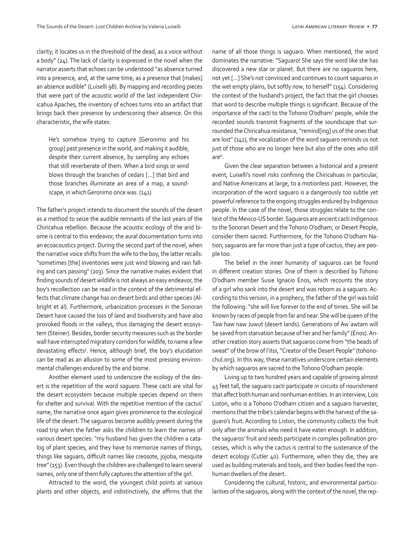clarity; it locates us in the threshold of the dead, as a voice without a body" (24). The lack of clarity is expressed in the novel when the narrator asserts that echoes can be understood "as absence turned into a presence, and, at the same time, as a presence that [makes] an absence audible" (Luiselli 98). By mapping and recording pieces that were part of the acoustic world of the last independent Chiricahua Apaches, the inventory of echoes turns into an artifact that brings back their presence by underscoring their absence. On this characteristic, the wife states:

He's somehow trying to capture [Geronimo and his group] past presence in the world, and making it audible, despite their current absence, by sampling any echoes that still reverberate of them. When a bird sings or wind blows through the branches of cedars […] that bird and those branches illuminate an area of a map, a soundscape, in which Geronimo once was. (141)

The father's project intends to document the sounds of the desert as a method to seize the audible remnants of the last years of the Chiricahua rebellion. Because the acoustic ecology of the arid biome is central to this endeavor, the aural documentation turns into an ecoacoustics project. During the second part of the novel, when the narrative voice shifts from the wife to the boy, the latter recalls: "sometimes [the] inventories were just wind blowing and rain falling and cars passing" (203). Since the narrative makes evident that finding sounds of desert wildlife is not always an easy endeavor, the boy's recollection can be read in the context of the detrimental effects that climate change has on desert birds and other species (Albright et al). Furthermore, urbanization processes in the Sonoran Desert have caused the loss of land and biodiversity and have also provoked floods in the valleys, thus damaging the desert ecosystem (Steiner). Besides, border security measures such as the border wall have interrupted migratory corridors for wildlife, to name a few devastating effects<sup>5</sup> . Hence, although brief, the boy's elucidation can be read as an allusion to some of the most pressing environmental challenges endured by the arid biome.

Another element used to underscore the ecology of the desert is the repetition of the word *saguaro*. These cacti are vital for the desert ecosystem because multiple species depend on them for shelter and survival. With the repetitive mention of the cactus' name, the narrative once again gives prominence to the ecological life of the desert. The saguaros become audibly present during the road trip when the father asks the children to learn the names of various desert species: "my husband has given the children a catalog of plant species, and they have to memorize names of things, things like saguaro, difficult names like creosote, jojoba, mesquite tree" (153). Even though the children are challenged to learn several names, only one of them fully captures the attention of the girl.

Attracted to the word, the youngest child points at various plants and other objects, and indistinctively, she affirms that the name of all those things is saguaro. When mentioned, the word dominates the narrative: "Saguaro! She says the word like she has discovered a new star or planet. But there are no saguaros here, not yet […] She's not convinced and continues to count saguaros in the wet empty plains, but softly now, to herself" (154). Considering the context of the husband's project, the fact that the girl chooses that word to describe multiple things is significant. Because of the importance of the cacti to the Tohono O'odham' people, while the recorded sounds transmit fragments of the soundscape that surrounded the Chiricahua resistance, "remind[ing] us of the ones that are lost" (141), the vocalization of the word saguaro reminds us not just of those who are no longer here but also of the ones who still are $^6$ .

Given the clear separation between a historical and a present event, Luiselli's novel risks confining the Chiricahuas in particular, and Native Americans at large, to a motionless past. However, the incorporation of the word saguaro is a dangerously too subtle yet powerful reference to the ongoing struggles endured by Indigenous people. In the case of the novel, those struggles relate to the context of the Mexico-US border. Saguaros are ancient cacti indigenous to the Sonoran Desert and the Tohono O'odham, or Desert People, consider them sacred. Furthermore, for the Tohono O'odham Nation, saguaros are far more than just a type of cactus, they are people too.

The belief in the inner humanity of saguaros can be found in different creation stories. One of them is described by Tohono O'odham member Susie Ignacio Enos, which recounts the story of a girl who sank into the desert and was reborn as a saguaro. According to this version, in a prophecy, the father of the girl was told the following: "she will live forever to the end of times. She will be known by races of people from far and near. She will be queen of the Taw haw naw Juwut (desert lands). Generations of Aw´awtam will be saved from starvation because of her and her family" (Enos). Another creation story asserts that saguaros come from "the beads of sweat" of the brow of I'itoi, "Creator of the Desert People" (tohonochul.org). In this way, these narratives underscore certain elements by which saguaros are sacred to the Tohono O'odham people.

Living up to two hundred years and capable of growing almost 45 feet tall, the saguaro cacti participate in circuits of nourishment that affect both human and nonhuman entities. In an interview, Lois Liston, who is a Tohono O'odham citizen and a saguaro harvester, mentions that the tribe's calendar begins with the harvest of the saguaro's fruit. According to Liston, the community collects the fruit only after the animals who need it have eaten enough. In addition, the saguaros' fruit and seeds participate in complex pollination processes, which is why the cactus is central to the sustenance of the desert ecology (Cutler 40). Furthermore, when they die, they are used as building materials and tools, and their bodies feed the nonhuman dwellers of the desert.

Considering the cultural, historic, and environmental particularities of the saguaros, along with the context of the novel, the rep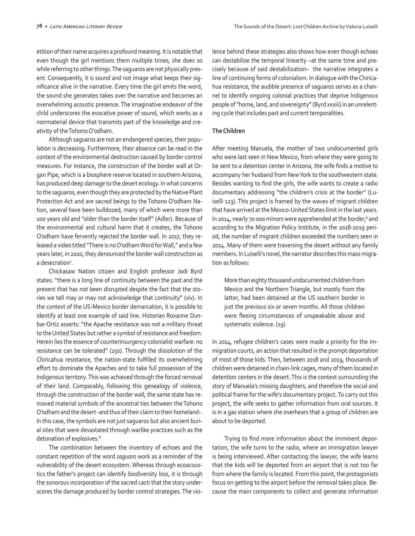etition of their name acquires a profound meaning. It is notable that even though the girl mentions them multiple times, she does so while referring to other things. The saguaros are not physically present. Consequently, it is sound and not image what keeps their significance alive in the narrative. Every time the girl emits the word, the sound she generates takes over the narrative and becomes an overwhelming acoustic presence. The imaginative endeavor of the child underscores the evocative power of sound, which works as a nonmaterial device that transmits part of the knowledge and creativity of the Tohono O'odham.

Although saguaros are not an endangered species, their population is decreasing. Furthermore, their absence can be read in the context of the environmental destruction caused by border control measures. For instance, the construction of the border wall at Organ Pipe, which is a biosphere reserve located in southern Arizona, has produced deep damage to the desert ecology. In what concerns to the saguaros, even though they are protected by the Native Plant Protection Act and are sacred beings to the Tohono O'odham Nation, several have been bulldozed, many of which were more than 100 years old and "older than the border itself" (Adler). Because of the environmental and cultural harm that it creates, the Tohono O'odham have fervently rejected the border wall. In 2017, they released a video titled "There is no O'odham Word for Wall," and a few years later, in 2020, they denounced the border wall construction as a desecration<sup>7</sup>.

Chickasaw Nation citizen and English professor Jodi Byrd states: "there is a long line of continuity between the past and the present that has not been disrupted despite the fact that the stories we tell may or may not acknowledge that continuity" (xiv). In the context of the US-Mexico border demarcation, it is possible to identify at least one example of said line. Historian Roxanne Dunbar-Ortiz asserts: "the Apache resistance was not a military threat to the United States but rather a symbol of resistance and freedom. Herein lies the essence of counterinsurgency colonialist warfare: no resistance can be tolerated" (150). Through the dissolution of the Chiricahua resistance, the nation-state fulfilled its overwhelming effort to dominate the Apaches and to take full possession of the Indigenous territory. This was achieved through the forced removal of their land. Comparably, following this genealogy of violence, through the construction of the border wall, the same state has removed material symbols of the ancestral ties between the Tohono O'odham and the desert -and thus of their claim to their homeland-. In this case, the symbols are not just saguaros but also ancient burial sites that were devastated through warlike practices such as the detonation of explosives.<sup>8</sup>

The combination between the inventory of echoes and the constant repetition of the word *saguaro* work as a reminder of the vulnerability of the desert ecosystem. Whereas through ecoacoustics the father's project can identify biodiversity loss, it is through the sonorous incorporation of the sacred cacti that the story underscores the damage produced by border control strategies. The violence behind these strategies also shows how even though echoes can destabilize the temporal linearity –at the same time and precisely because of said destabilization– the narrative integrates a line of continuing forms of colonialism. In dialogue with the Chiricahua resistance, the audible presence of saguaros serves as a channel to identify ongoing colonial practices that deprive Indigenous people of "home, land, and sovereignty" (Byrd xxxiii) in an unrelenting cycle that includes past and current temporalities.

#### **The Children**

After meeting Manuela, the mother of two undocumented girls who were last seen in New Mexico, from where they were going to be sent to a detention center in Arizona, the wife finds a motive to accompany her husband from New York to the southwestern state. Besides wanting to find the girls, the wife wants to create a radio documentary addressing "the children's crisis at the border" (Luiselli 123). This project is framed by the waves of migrant children that have arrived at the Mexico-United States limit in the last years. In 2014, nearly 70 000 minors were apprehended at the border,<sup>9</sup> and according to the Migration Policy Institute, in the 2018-2019 period, the number of migrant children exceeded the numbers seen in 2014. Many of them were traversing the desert without any family members. In Luiselli's novel, the narrator describes this mass migration as follows:

More than eighty thousand undocumented children from Mexico and the Northern Triangle, but mostly from the latter, had been detained at the US southern border in just the previous six or seven months. All those children were fleeing circumstances of unspeakable abuse and systematic violence. (19)

In 2014, refugee children's cases were made a priority for the immigration courts, an action that resulted in the prompt deportation of most of those kids. Then, between 2018 and 2019, thousands of children were detained in chain-link cages, many of them located in detention centers in the desert. This is the context surrounding the story of Manuela's missing daughters, and therefore the social and political frame for the wife's documentary project. To carry out this project, the wife seeks to gather information from oral sources. It is in a gas station where she overhears that a group of children are about to be deported.

Trying to find more information about the imminent deportation, the wife turns to the radio, where an immigration lawyer is being interviewed. After contacting the lawyer, the wife learns that the kids will be deported from an airport that is not too far from where the family is located. From this point, the protagonists focus on getting to the airport before the removal takes place. Because the main components to collect and generate information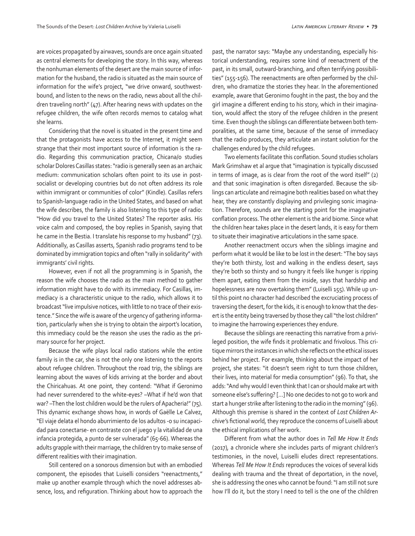are voices propagated by airwaves, sounds are once again situated as central elements for developing the story. In this way, whereas the nonhuman elements of the desert are the main source of information for the husband, the radio is situated as the main source of information for the wife's project, "we drive onward, southwestbound, and listen to the news on the radio, news about all the children traveling north" (47). After hearing news with updates on the refugee children, the wife often records memos to catalog what she learns.

Considering that the novel is situated in the present time and that the protagonists have access to the Internet, it might seem strange that their most important source of information is the radio. Regarding this communication practice, Chicana/o studies scholar Dolores Casillas states: "radio is generally seen as an archaic medium: communication scholars often point to its use in postsocialist or developing countries but do not often address its role within immigrant or communities of color" (Kindle). Casillas refers to Spanish-language radio in the United States, and based on what the wife describes, the family is also listening to this type of radio: "How did you travel to the United States? The reporter asks. His voice calm and composed, the boy replies in Spanish, saying that he came in the Bestia. I translate his response to my husband" (73). Additionally, as Casillas asserts, Spanish radio programs tend to be dominated by immigration topics and often "rally in solidarity" with immigrants' civil rights.

However, even if not all the programming is in Spanish, the reason the wife chooses the radio as the main method to gather information might have to do with its immediacy. For Casillas, immediacy is a characteristic unique to the radio, which allows it to broadcast "live impulsive notices, with little to no trace of their existence." Since the wife is aware of the urgency of gathering information, particularly when she is trying to obtain the airport's location, this immediacy could be the reason she uses the radio as the primary source for her project.

Because the wife plays local radio stations while the entire family is in the car, she is not the only one listening to the reports about refugee children. Throughout the road trip, the siblings are learning about the waves of kids arriving at the border and about the Chiricahuas. At one point, they contend: "What if Geronimo had never surrendered to the white-eyes? –What if he'd won that war? –Then the lost children would be the rulers of Apacheria!" (75). This dynamic exchange shows how, in words of Gaëlle Le Calvez, "El viaje delata el hondo aburrimiento de los adultos -o su incapacidad para conectarse- en contraste con el juego y la vitalidad de una infancia protegida, a punto de ser vulnerada" (65-66). Whereas the adults grapple with their marriage, the children try to make sense of different realities with their imagination.

Still centered on a sonorous dimension but with an embodied component, the episodes that Luiselli considers "reenactments," make up another example through which the novel addresses absence, loss, and refiguration. Thinking about how to approach the past, the narrator says: "Maybe any understanding, especially historical understanding, requires some kind of reenactment of the past, in its small, outward-branching, and often terrifying possibilities" (155-156). The reenactments are often performed by the children, who dramatize the stories they hear. In the aforementioned example, aware that Geronimo fought in the past, the boy and the girl imagine a different ending to his story, which in their imagination, would affect the story of the refugee children in the present time. Even though the siblings can differentiate between both temporalities, at the same time, because of the sense of immediacy that the radio produces, they articulate an instant solution for the challenges endured by the child refugees.

Two elements facilitate this conflation. Sound studies scholars Mark Grimshaw et al argue that "imagination is typically discussed in terms of image, as is clear from the root of the word itself" (2) and that sonic imagination is often disregarded. Because the siblings can articulate and reimagine both realities based on what they hear, they are constantly displaying and privileging sonic imagination. Therefore, sounds are the starting point for the imaginative conflation process. The other element is the arid biome. Since what the children hear takes place in the desert lands, it is easy for them to situate their imaginative articulations in the same space.

Another reenactment occurs when the siblings imagine and perform what it would be like to be lost in the desert: "The boy says they're both thirsty, lost and walking in the endless desert, says they're both so thirsty and so hungry it feels like hunger is ripping them apart, eating them from the inside, says that hardship and hopelessness are now overtaking them" (Luiselli 155). While up until this point no character had described the excruciating process of traversing the desert, for the kids, it is enough to know that the desert is the entity being traversed by those they call "the lost children" to imagine the harrowing experiences they endure.

Because the siblings are reenacting this narrative from a privileged position, the wife finds it problematic and frivolous. This critique mirrors the instances in which she reflects on the ethical issues behind her project. For example, thinking about the impact of her project, she states: "it doesn't seem right to turn those children, their lives, into material for media consumption" (96). To that, she adds: "And why would I even think that I can or should make art with someone else's suffering? […] No one decides to not go to work and start a hunger strike after listening to the radio in the morning" (96). Although this premise is shared in the context of *Lost Children Archive'*s fictional world*,* they reproduce the concerns of Luiselli about the ethical implications of her work.

Different from what the author does in *Tell Me How It Ends*  (2017)*,* a chronicle where she includes parts of migrant children's testimonies, in the novel, Luiselli eludes direct representations. Whereas *Tell Me How It Ends* reproduces the voices of several kids dealing with trauma and the threat of deportation, in the novel, she is addressing the ones who cannot be found: "I am still not sure how I'll do it, but the story I need to tell is the one of the children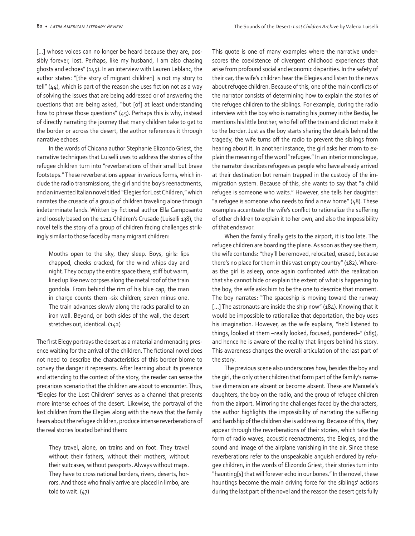[...] whose voices can no longer be heard because they are, possibly forever, lost. Perhaps, like my husband, I am also chasing ghosts and echoes" (145). In an interview with Lauren Leblanc, the author states: "[the story of migrant children] is not my story to tell" (44), which is part of the reason she uses fiction not as a way of solving the issues that are being addressed or of answering the questions that are being asked, "but [of] at least understanding how to phrase those questions" (45). Perhaps this is why, instead of directly narrating the journey that many children take to get to the border or across the desert, the author references it through narrative echoes.

In the words of Chicana author Stephanie Elizondo Griest, the narrative techniques that Luiselli uses to address the stories of the refugee children turn into "reverberations of their small but brave footsteps." These reverberations appear in various forms, which include the radio transmissions, the girl and the boy's reenactments, and an invented Italian novel titled "Elegies for Lost Children," which narrates the crusade of a group of children traveling alone through indeterminate lands. Written by fictional author Ella Camposanto and loosely based on the 1212 Children's Crusade (Luiselli 138), the novel tells the story of a group of children facing challenges strikingly similar to those faced by many migrant children:

Mouths open to the sky, they sleep. Boys, girls: lips chapped, cheeks cracked, for the wind whips day and night. They occupy the entire space there, stiff but warm, lined up like new corpses along the metal roof of the train gondola. From behind the rim of his blue cap, the man in charge counts them -six children; seven minus one. The train advances slowly along the racks parallel to an iron wall. Beyond, on both sides of the wall, the desert stretches out, identical. (142)

The first Elegy portrays the desert as a material and menacing presence waiting for the arrival of the children. The fictional novel does not need to describe the characteristics of this border biome to convey the danger it represents. After learning about its presence and attending to the context of the story, the reader can sense the precarious scenario that the children are about to encounter. Thus, "Elegies for the Lost Children" serves as a channel that presents more intense echoes of the desert. Likewise, the portrayal of the lost children from the Elegies along with the news that the family hears about the refugee children, produce intense reverberations of the real stories located behind them:

They travel, alone, on trains and on foot. They travel without their fathers, without their mothers, without their suitcases, without passports. Always without maps. They have to cross national borders, rivers, deserts, horrors. And those who finally arrive are placed in limbo, are told to wait. (47)

This quote is one of many examples where the narrative underscores the coexistence of divergent childhood experiences that arise from profound social and economic disparities. In the safety of their car, the wife's children hear the Elegies and listen to the news about refugee children. Because of this, one of the main conflicts of the narrator consists of determining how to explain the stories of the refugee children to the siblings. For example, during the radio interview with the boy who is narrating his journey in the Bestia, he mentions his little brother, who fell off the train and did not make it to the border. Just as the boy starts sharing the details behind the tragedy, the wife turns off the radio to prevent the siblings from hearing about it. In another instance, the girl asks her mom to explain the meaning of the word "refugee." In an interior monologue, the narrator describes refugees as people who have already arrived at their destination but remain trapped in the custody of the immigration system. Because of this, she wants to say that "a child refugee is someone who waits." However, she tells her daughter: "a refugee is someone who needs to find a new home" (48). These examples accentuate the wife's conflict to rationalize the suffering of other children to explain it to her own, and also the impossibility of that endeavor.

When the family finally gets to the airport, it is too late. The refugee children are boarding the plane. As soon as they see them, the wife contends: "they'll be removed, relocated, erased, because there's no place for them in this vast empty country" (182). Whereas the girl is asleep, once again confronted with the realization that she cannot hide or explain the extent of what is happening to the boy, the wife asks him to be the one to describe that moment. The boy narrates: "The spaceship is moving toward the runway [...] The astronauts are inside the ship now" (184). Knowing that it would be impossible to rationalize that deportation, the boy uses his imagination. However, as the wife explains, "he'd listened to things, looked at them –really looked, focused, pondered–" (185), and hence he is aware of the reality that lingers behind his story. This awareness changes the overall articulation of the last part of the story.

The previous scene also underscores how, besides the boy and the girl, the only other children that form part of the family's narrative dimension are absent or become absent. These are Manuela's daughters, the boy on the radio, and the group of refugee children from the airport. Mirroring the challenges faced by the characters, the author highlights the impossibility of narrating the suffering and hardship of the children she is addressing. Because of this, they appear through the reverberations of their stories, which take the form of radio waves, acoustic reenactments, the Elegies, and the sound and image of the airplane vanishing in the air. Since these reverberations refer to the unspeakable anguish endured by refugee children, in the words of Elizondo Griest, their stories turn into "haunting[s] that will forever echo in our bones." In the novel, these hauntings become the main driving force for the siblings' actions during the last part of the novel and the reason the desert gets fully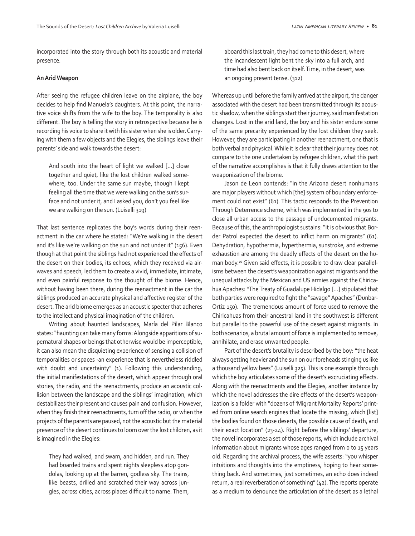incorporated into the story through both its acoustic and material presence.

#### **An Arid Weapon**

After seeing the refugee children leave on the airplane, the boy decides to help find Manuela's daughters. At this point, the narrative voice shifts from the wife to the boy. The temporality is also different. The boy is telling the story in retrospective because he is recording his voice to share it with his sister when she is older. Carrying with them a few objects and the Elegies, the siblings leave their parents' side and walk towards the desert:

And south into the heart of light we walked […] close together and quiet, like the lost children walked somewhere, too. Under the same sun maybe, though I kept feeling all the time that we were walking on the sun's surface and not under it, and I asked you, don't you feel like we are walking on the sun. (Luiselli 319)

That last sentence replicates the boy's words during their reenactment in the car where he stated: "We're walking in the desert and it's like we're walking on the sun and not under it" (156). Even though at that point the siblings had not experienced the effects of the desert on their bodies, its echoes, which they received via airwaves and speech, led them to create a vivid, immediate, intimate, and even painful response to the thought of the biome. Hence, without having been there, during the reenactment in the car the siblings produced an accurate physical and affective register of the desert. The arid biome emerges as an acoustic specter that adheres to the intellect and physical imagination of the children.

Writing about haunted landscapes, María del Pilar Blanco states: "haunting can take many forms: Alongside apparitions of supernatural shapes or beings that otherwise would be imperceptible, it can also mean the disquieting experience of sensing a collision of temporalities or spaces -an experience that is nevertheless riddled with doubt and uncertainty" (1). Following this understanding, the initial manifestations of the desert, which appear through oral stories, the radio, and the reenactments, produce an acoustic collision between the landscape and the siblings' imagination, which destabilizes their present and causes pain and confusion. However, when they finish their reenactments, turn off the radio, or when the projects of the parents are paused, not the acoustic but the material presence of the desert continues to loom over the lost children, as it is imagined in the Elegies:

They had walked, and swam, and hidden, and run. They had boarded trains and spent nights sleepless atop gondolas, looking up at the barren, godless sky. The trains, like beasts, drilled and scratched their way across jungles, across cities, across places difficult to name. Them, aboard this last train, they had come to this desert, where the incandescent light bent the sky into a full arch, and time had also bent back on itself. Time, in the desert, was an ongoing present tense. (312)

Whereas up until before the family arrived at the airport, the danger associated with the desert had been transmitted through its acoustic shadow, when the siblings start their journey, said manifestation changes. Lost in the arid land, the boy and his sister endure some of the same precarity experienced by the lost children they seek. However, they are participating in another reenactment, one that is both verbal and physical. While it is clear that their journey does not compare to the one undertaken by refugee children, what this part of the narrative accomplishes is that it fully draws attention to the weaponization of the biome.

Jason de Leon contends: "in the Arizona desert nonhumans are major players without which [the] system of boundary enforcement could not exist" (61). This tactic responds to the Prevention Through Deterrence scheme, which was implemented in the 90s to close all urban access to the passage of undocumented migrants. Because of this, the anthropologist sustains: "it is obvious that Border Patrol expected the desert to inflict harm on migrants" (61). Dehydration, hypothermia, hyperthermia, sunstroke, and extreme exhaustion are among the deadly effects of the desert on the human body.10 Given said effects, it is possible to draw clear parallelisms between the desert's weaponization against migrants and the unequal attacks by the Mexican and US armies against the Chiricahua Apaches: "The Treaty of Guadalupe Hidalgo […] stipulated that both parties were required to fight the "savage" Apaches" (Dunbar-Ortiz 150). The tremendous amount of force used to remove the Chiricahuas from their ancestral land in the southwest is different but parallel to the powerful use of the desert against migrants. In both scenarios, a brutal amount of force is implemented to remove, annihilate, and erase unwanted people.

Part of the desert's brutality is described by the boy: "the heat always getting heavier and the sun on our foreheads stinging us like a thousand yellow bees" (Luiselli 325). This is one example through which the boy articulates some of the desert's excruciating effects. Along with the reenactments and the Elegies, another instance by which the novel addresses the dire effects of the desert's weaponization is a folder with "dozens of 'Migrant Mortality Reports' printed from online search engines that locate the missing, which [list] the bodies found on those deserts, the possible cause of death, and their exact location" (23-24). Right before the siblings' departure, the novel incorporates a set of those reports, which include archival information about migrants whose ages ranged from 0 to 15 years old. Regarding the archival process, the wife asserts: "you whisper intuitions and thoughts into the emptiness, hoping to hear something back. And sometimes, just sometimes, an echo does indeed return, a real reverberation of something" (42). The reports operate as a medium to denounce the articulation of the desert as a lethal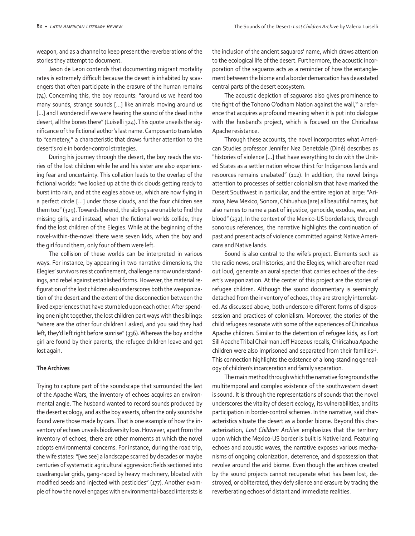weapon, and as a channel to keep present the reverberations of the stories they attempt to document.

Jason de Leon contends that documenting migrant mortality rates is extremely difficult because the desert is inhabited by scavengers that often participate in the erasure of the human remains (74). Concerning this, the boy recounts: "around us we heard too many sounds, strange sounds […] like animals moving around us [...] and I wondered if we were hearing the sound of the dead in the desert, all the bones there" (Luiselli 324). This quote unveils the significance of the fictional author's last name. Camposanto translates to "cemetery," a characteristic that draws further attention to the desert's role in border-control strategies.

During his journey through the desert, the boy reads the stories of the lost children while he and his sister are also experiencing fear and uncertainty. This collation leads to the overlap of the fictional worlds: "we looked up at the thick clouds getting ready to burst into rain, and at the eagles above us, which are now flying in a perfect circle […] under those clouds, and the four children see them too" (329). Towards the end, the siblings are unable to find the missing girls, and instead, when the fictional worlds collide, they find the lost children of the Elegies. While at the beginning of the novel-within-the-novel there were seven kids, when the boy and the girl found them, only four of them were left.

The collision of these worlds can be interpreted in various ways. For instance, by appearing in two narrative dimensions, the Elegies' survivors resist confinement, challenge narrow understandings, and rebel against established forms. However, the material refiguration of the lost children also underscores both the weaponization of the desert and the extent of the disconnection between the lived experiences that have stumbled upon each other. After spending one night together, the lost children part ways with the siblings: "where are the other four children I asked, and you said they had left, they'd left right before sunrise" (336). Whereas the boy and the girl are found by their parents, the refugee children leave and get lost again.

## **The Archives**

Trying to capture part of the soundscape that surrounded the last of the Apache Wars, the inventory of echoes acquires an environmental angle. The husband wanted to record sounds produced by the desert ecology, and as the boy asserts, often the only sounds he found were those made by cars. That is one example of how the inventory of echoes unveils biodiversity loss. However, apart from the inventory of echoes, there are other moments at which the novel adopts environmental concerns. For instance, during the road trip, the wife states: "[we see] a landscape scarred by decades or maybe centuries of systematic agricultural aggression: fields sectioned into quadrangular grids, gang-raped by heavy machinery, bloated with modified seeds and injected with pesticides" (177). Another example of how the novel engages with environmental-based interests is the inclusion of the ancient saguaros' name, which draws attention to the ecological life of the desert. Furthermore, the acoustic incorporation of the saguaros acts as a reminder of how the entanglement between the biome and a border demarcation has devastated central parts of the desert ecosystem.

The acoustic depiction of saguaros also gives prominence to the fight of the Tohono O'odham Nation against the wall, $11$  a reference that acquires a profound meaning when it is put into dialogue with the husband's project, which is focused on the Chiricahua Apache resistance.

Through these accounts, the novel incorporates what American Studies professor Jennifer Nez Denetdale (Diné) describes as "histories of violence […] that have everything to do with the United States as a settler nation whose thirst for Indigenous lands and resources remains unabated" (112). In addition, the novel brings attention to processes of settler colonialism that have marked the Desert Southwest in particular, and the entire region at large: "Arizona, New Mexico, Sonora, Chihuahua [are] all beautiful names, but also names to name a past of injustice, genocide, exodus, war, and blood" (232). In the context of the Mexico-US borderlands, through sonorous references, the narrative highlights the continuation of past and present acts of violence committed against Native Americans and Native lands.

Sound is also central to the wife's project. Elements such as the radio news, oral histories, and the Elegies, which are often read out loud, generate an aural specter that carries echoes of the desert's weaponization. At the center of this project are the stories of refugee children. Although the sound documentary is seemingly detached from the inventory of echoes, they are strongly interrelated. As discussed above, both underscore different forms of dispossession and practices of colonialism. Moreover, the stories of the child refugees resonate with some of the experiences of Chiricahua Apache children. Similar to the detention of refugee kids, as Fort Sill Apache Tribal Chairman Jeff Haozous recalls, Chiricahua Apache children were also imprisoned and separated from their families<sup>12</sup>. This connection highlights the existence of a long-standing genealogy of children's incarceration and family separation.

The main method through which the narrative foregrounds the multitemporal and complex existence of the southwestern desert is sound. It is through the representations of sounds that the novel underscores the vitality of desert ecology, its vulnerabilities, and its participation in border-control schemes. In the narrative, said characteristics situate the desert as a border biome. Beyond this characterization, *Lost Children Archive* emphasizes that the territory upon which the Mexico-US border is built is Native land. Featuring echoes and acoustic waves, the narrative exposes various mechanisms of ongoing colonization, deterrence, and dispossession that revolve around the arid biome. Even though the archives created by the sound projects cannot recuperate what has been lost, destroyed, or obliterated, they defy silence and erasure by tracing the reverberating echoes of distant and immediate realities.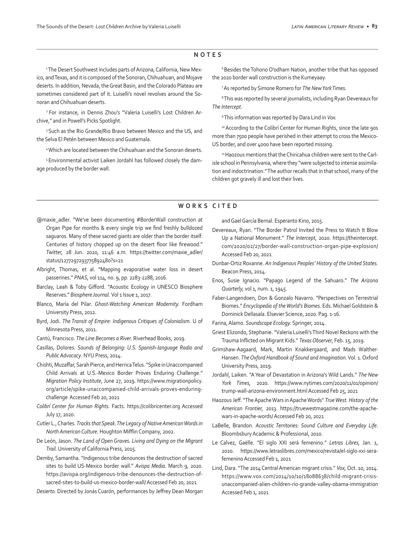#### **NOTES**

<sup>1</sup>The Desert Southwest includes parts of Arizona, California, New Mexico, and Texas, and it is composed of the Sonoran, Chihuahuan, and Mojave deserts. In addition, Nevada, the Great Basin, and the Colorado Plateau are sometimes considered part of it. Luiselli's novel revolves around the Sonoran and Chihuahuan deserts.

2 For instance, in Dennis Zhou's "Valeria Luiselli's Lost Children Archive," and in Powell's Picks Spotlight.

<sup>3</sup> Such as the Rio Grande/Rio Bravo between Mexico and the US, and the Selva El Petén between Mexico and Guatemala.

4 Which are located between the Chihuahuan and the Sonoran deserts.

5 Environmental activist Laiken Jordahl has followed closely the damage produced by the border wall.

<sup>6</sup> Besides the Tohono O'odham Nation, another tribe that has opposed the 2020 border wall construction is the Kumeyaay.

7 As reported by Simone Romero for *The New York Times.*

8 This was reported by several journalists, including Ryan Devereaux for *The Intercept.*

9 This information was reported by Dara Lind in *Vox.*

10 According to the Colibri Center for Human Rights, since the late 90s more than 7500 people have perished in their attempt to cross the Mexico-US border, and over 4000 have been reported missing.

<sup>11</sup> Haozous mentions that the Chiricahua children were sent to the Carlisle school in Pennsylvania, where they "were subjected to intense assimilation and indoctrination." The author recalls that in that school, many of the children got gravely ill and lost their lives.

#### **WORKS CITED**

- @maxie\_adler. "We've been documenting #BorderWall construction at Organ Pipe for months & every single trip we find freshly bulldozed saguaros. Many of these sacred giants are older than the border itself. Centuries of history chopped up on the desert floor like firewood." *Twitter,* 28 Jun. 2020, 11:46 a.m. https://twitter.com/maxie\_adler/ status/1277297293775892480?s=21
- Albright, Thomas, et al. "Mapping evaporative water loss in desert passerines." *PNAS,* vol 114, no. 9, pp. 2283-2288, 2016.
- Barclay, Leah & Toby Gifford. "Acoustic Ecology in UNESCO Biosphere Reserves." Biosphere Journal. Vol 1 Issue 1, 2017.
- Blanco, María del Pilar. *Ghost-Watching American Modernity.* Fordham University Press, 2012.
- Byrd, Jodi. *The Transit of Empire: Indigenous Critiques of Colonialism.* U of Minnesota Press, 2011.
- Cantú, Francisco. *The Line Becomes a River.* Riverhead Books, 2019.
- Casillas, Dolores. *Sounds of Belonging: U.S. Spanish-language Radio and Public Advocacy*. NYU Press, 2014.
- Chishti, Muzaffar, Sarah Pierce, and Herrica Telus. "Spike in Unaccompanied Child Arrivals at U.S.-Mexico Border Proves Enduring Challenge." *Migration Policy Institute*, June 27, 2019. https://www.migrationpolicy. org/article/spike-unaccompanied-child-arrivals-proves-enduringchallenge Accessed Feb 20, 2021
- *Colibrí Center for Human Rights.* Facts. https://colibricenter.org Accessed July 17, 2020.
- Cutler L., Charles. *Tracks that Speak. The Legacy of Native American Words in North American Culture.* Houghton Mifflin Company, 2002.
- De León, Jason. *The Land of Open Graves. Living and Dying on the Migrant Trail.* University of California Press, 2015.
- Demby, Samantha. "Indigenous tribe denounces the destruction of sacred sites to build US-Mexico border wall." *Avispa Media.* March 9, 2020. https://avispa.org/indigenous-tribe-denounces-the-destruction-ofsacred-sites-to-build-us-mexico-border-wall/ Accessed Feb 20, 2021

*Desierto.* Directed by Jonás Cuarón, performances by Jeffrey Dean Morgan

and Gael García Bernal. Esperanto Kino, 2015.

- Devereaux, Ryan. "The Border Patrol Invited the Press to Watch It Blow Up a National Monument." *The Intercept,* 2020. https://theintercept. com/2020/02/27/border-wall-construction-organ-pipe-explosion/ Accessed Feb 20, 2021
- Dunbar-Ortiz Roxanne. *An Indigenous Peoples' History of the United States.*  Beacon Press, 2014.
- Enos, Susie Ignacio. "Papago Legend of the Sahuaro." *The Arizona Quarterly,* vol 1, num. 1, 1945.
- Faber-Langendoen, Don & Gonzalo Navarro. "Perspectives on Terrestrial Biomes." *Encyclopedia of the World's Biomes.* Eds. Michael Goldstein & Dominick Dellasala. Elsevier Science, 2020. Pag. 1-16.
- Farina, Alamo. *Soundscape Ecology.* Springer, 2014.
- Griest Elizondo, Stephanie. "Valeria Luiselli's Third Novel Reckons with the Trauma Inflicted on Migrant Kids." *Texas Observer,* Feb. 15, 2019.
- Grimshaw-Aagaard, Mark, Martin Knakkergaard, and Mads Walther-Hansen. *The Oxford Handbook of Sound and Imagination.* Vol. 1. Oxford University Press, 2019.
- Jordahl, Laiken. "A Year of Devastation in Arizona's Wild Lands." *The New York Times,* 2020. https://www.nytimes.com/2020/11/01/opinion/ trump-wall-arizona-environment.html Accessed Feb 25, 2021
- Haozous Jeff. "The Apache Wars in Apache Words" *True West. History of the American Frontier,* 2013. https://truewestmagazine.com/the-apachewars-in-apache-words/ Accessed Feb 20, 2021
- LaBelle, Brandon. *Acoustic Territories: Sound Culture and Everyday Life*. Bloombsbury Academic & Professional, 2010.
- Le Calvez, Gaëlle. "El siglo XXI será femenino." *Letras Libres,* Jan. 1, 2020. https://www.letraslibres.com/mexico/revista/el-siglo-xxi-serafemenino Accessed Feb 1, 2021
- Lind, Dara. "The 2014 Central American migrant crisis." *Vox,* Oct. 10, 2014. https://www.vox.com/2014/10/10/18088638/child-migrant-crisisunaccompanied-alien-children-rio-grande-valley-obama-immigration Accessed Feb 1, 2021